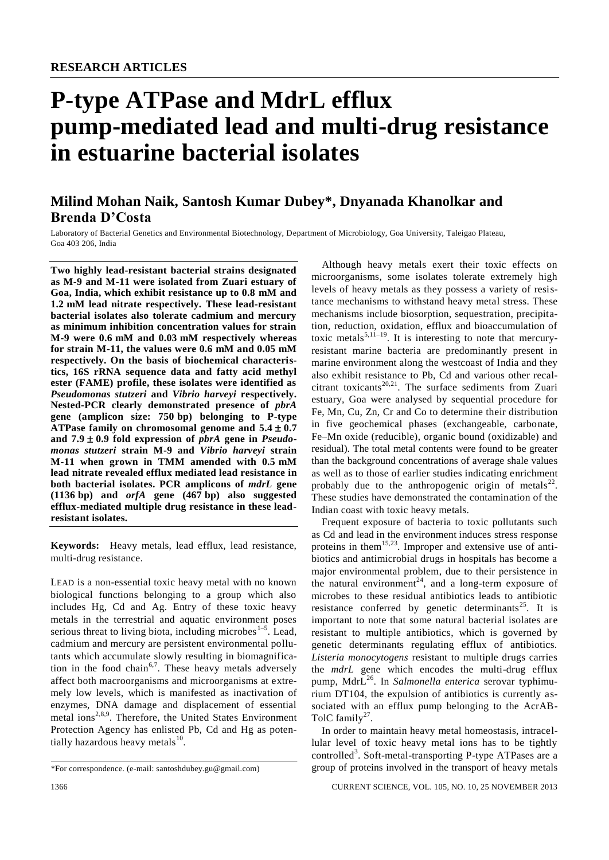# **P-type ATPase and MdrL efflux pump-mediated lead and multi-drug resistance in estuarine bacterial isolates**

## **Milind Mohan Naik, Santosh Kumar Dubey\*, Dnyanada Khanolkar and Brenda D'Costa**

Laboratory of Bacterial Genetics and Environmental Biotechnology, Department of Microbiology, Goa University, Taleigao Plateau, Goa 403 206, India

**Two highly lead-resistant bacterial strains designated as M-9 and M-11 were isolated from Zuari estuary of Goa, India, which exhibit resistance up to 0.8 mM and 1.2 mM lead nitrate respectively. These lead-resistant bacterial isolates also tolerate cadmium and mercury as minimum inhibition concentration values for strain M-9 were 0.6 mM and 0.03 mM respectively whereas for strain M-11, the values were 0.6 mM and 0.05 mM respectively. On the basis of biochemical characteristics, 16S rRNA sequence data and fatty acid methyl ester (FAME) profile, these isolates were identified as**  *Pseudomonas stutzeri* **and** *Vibrio harveyi* **respectively. Nested-PCR clearly demonstrated presence of** *pbrA* **gene (amplicon size: 750 bp) belonging to P-type ATPase family on chromosomal genome and**  $5.4 \pm 0.7$ and  $7.9 \pm 0.9$  fold expression of *pbrA* gene in *Pseudomonas stutzeri* **strain M-9 and** *Vibrio harveyi* **strain M-11 when grown in TMM amended with 0.5 mM lead nitrate revealed efflux mediated lead resistance in both bacterial isolates. PCR amplicons of** *mdrL* **gene (1136 bp) and** *orfA* **gene (467 bp) also suggested efflux-mediated multiple drug resistance in these leadresistant isolates.** 

**Keywords:** Heavy metals, lead efflux, lead resistance, multi-drug resistance.

LEAD is a non-essential toxic heavy metal with no known biological functions belonging to a group which also includes Hg, Cd and Ag. Entry of these toxic heavy metals in the terrestrial and aquatic environment poses serious threat to living biota, including microbes $1-5$ . Lead, cadmium and mercury are persistent environmental pollutants which accumulate slowly resulting in biomagnification in the food chain<sup>6,7</sup>. These heavy metals adversely affect both macroorganisms and microorganisms at extremely low levels, which is manifested as inactivation of enzymes, DNA damage and displacement of essential metal ions<sup>2,8,9</sup>. Therefore, the United States Environment Protection Agency has enlisted Pb, Cd and Hg as potentially hazardous heavy metals $^{10}$ .

Although heavy metals exert their toxic effects on microorganisms, some isolates tolerate extremely high levels of heavy metals as they possess a variety of resistance mechanisms to withstand heavy metal stress. These mechanisms include biosorption, sequestration, precipitation, reduction, oxidation, efflux and bioaccumulation of toxic metals<sup>5,11–19</sup>. It is interesting to note that mercuryresistant marine bacteria are predominantly present in marine environment along the westcoast of India and they also exhibit resistance to Pb, Cd and various other recalcitrant toxicants<sup>20,21</sup>. The surface sediments from Zuari estuary, Goa were analysed by sequential procedure for Fe, Mn, Cu, Zn, Cr and Co to determine their distribution in five geochemical phases (exchangeable, carbonate, Fe–Mn oxide (reducible), organic bound (oxidizable) and residual). The total metal contents were found to be greater than the background concentrations of average shale values as well as to those of earlier studies indicating enrichment probably due to the anthropogenic origin of metals<sup>22</sup>. These studies have demonstrated the contamination of the Indian coast with toxic heavy metals.

Frequent exposure of bacteria to toxic pollutants such as Cd and lead in the environment induces stress response proteins in them<sup>15,23</sup>. Improper and extensive use of antibiotics and antimicrobial drugs in hospitals has become a major environmental problem, due to their persistence in the natural environment<sup>24</sup>, and a long-term exposure of microbes to these residual antibiotics leads to antibiotic resistance conferred by genetic determinants<sup>25</sup>. It is important to note that some natural bacterial isolates are resistant to multiple antibiotics, which is governed by genetic determinants regulating efflux of antibiotics. *Listeria monocytogens* resistant to multiple drugs carries the *mdrL* gene which encodes the multi-drug efflux pump, MdrL<sup>26</sup>. In *Salmonella enterica* serovar typhimurium DT104, the expulsion of antibiotics is currently associated with an efflux pump belonging to the AcrAB-TolC family<sup>27</sup>.

In order to maintain heavy metal homeostasis, intracellular level of toxic heavy metal ions has to be tightly controlled<sup>3</sup>. Soft-metal-transporting P-type ATPases are a group of proteins involved in the transport of heavy metals

1366 CURRENT SCIENCE, VOL. 105, NO. 10, 25 NOVEMBER 2013

<sup>\*</sup>For correspondence. (e-mail: santoshdubey.gu@gmail.com)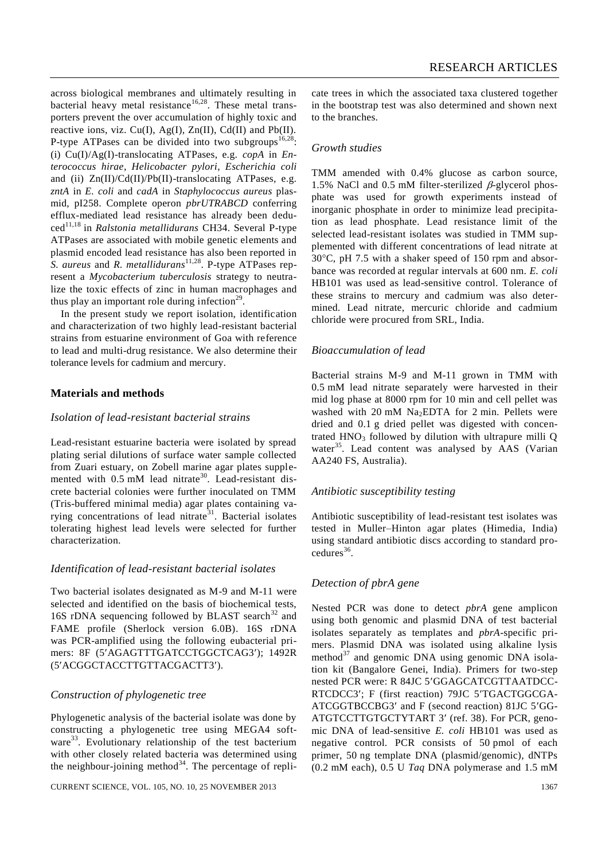across biological membranes and ultimately resulting in bacterial heavy metal resistance<sup>16,28</sup>. These metal transporters prevent the over accumulation of highly toxic and reactive ions, viz. Cu(I), Ag(I), Zn(II), Cd(II) and Pb(II). P-type ATPases can be divided into two subgroups<sup>16,28</sup>: (i) Cu(I)/Ag(I)-translocating ATPases, e.g. *copA* in *Enterococcus hirae*, *Helicobacter pylori*, *Escherichia coli* and (ii) Zn(II)/Cd(II)/Pb(II)-translocating ATPases, e.g. *zntA* in *E. coli* and *cadA* in *Staphylococcus aureus* plasmid, pI258. Complete operon *pbrUTRABCD* conferring efflux-mediated lead resistance has already been deduced11,18 in *Ralstonia metallidurans* CH34. Several P-type ATPases are associated with mobile genetic elements and plasmid encoded lead resistance has also been reported in S. aureus and *R. metallidurans*<sup>11,28</sup>. P-type ATPases represent a *Mycobacterium tuberculosis* strategy to neutralize the toxic effects of zinc in human macrophages and thus play an important role during infection<sup>29</sup>.

In the present study we report isolation, identification and characterization of two highly lead-resistant bacterial strains from estuarine environment of Goa with reference to lead and multi-drug resistance. We also determine their tolerance levels for cadmium and mercury.

## **Materials and methods**

## *Isolation of lead-resistant bacterial strains*

Lead-resistant estuarine bacteria were isolated by spread plating serial dilutions of surface water sample collected from Zuari estuary, on Zobell marine agar plates supplemented with 0.5 mM lead nitrate<sup>30</sup>. Lead-resistant discrete bacterial colonies were further inoculated on TMM (Tris-buffered minimal media) agar plates containing varying concentrations of lead  $n$ itrate<sup>31</sup>. Bacterial isolates tolerating highest lead levels were selected for further characterization.

## *Identification of lead-resistant bacterial isolates*

Two bacterial isolates designated as M-9 and M-11 were selected and identified on the basis of biochemical tests, 16S rDNA sequencing followed by BLAST search  $32$  and FAME profile (Sherlock version 6.0B). 16S rDNA was PCR-amplified using the following eubacterial primers: 8F (5'AGAGTTTGATCCTGGCTCAG3'); 1492R (5ACGGCTACCTTGTTACGACTT3).

## *Construction of phylogenetic tree*

Phylogenetic analysis of the bacterial isolate was done by constructing a phylogenetic tree using MEGA4 software<sup>33</sup>. Evolutionary relationship of the test bacterium with other closely related bacteria was determined using the neighbour-joining method $^{34}$ . The percentage of repli-

CURRENT SCIENCE, VOL. 105, NO. 10, 25 NOVEMBER 2013 1367

cate trees in which the associated taxa clustered together in the bootstrap test was also determined and shown next to the branches.

## *Growth studies*

TMM amended with 0.4% glucose as carbon source, 1.5% NaCl and 0.5 mM filter-sterilized  $\beta$ -glycerol phosphate was used for growth experiments instead of inorganic phosphate in order to minimize lead precipitation as lead phosphate. Lead resistance limit of the selected lead-resistant isolates was studied in TMM supplemented with different concentrations of lead nitrate at  $30^{\circ}$ C, pH 7.5 with a shaker speed of 150 rpm and absorbance was recorded at regular intervals at 600 nm. *E. coli* HB101 was used as lead-sensitive control. Tolerance of these strains to mercury and cadmium was also determined. Lead nitrate, mercuric chloride and cadmium chloride were procured from SRL, India.

## *Bioaccumulation of lead*

Bacterial strains M-9 and M-11 grown in TMM with 0.5 mM lead nitrate separately were harvested in their mid log phase at 8000 rpm for 10 min and cell pellet was washed with 20 mM  $Na<sub>2</sub>EDTA$  for 2 min. Pellets were dried and 0.1 g dried pellet was digested with concentrated  $HNO<sub>3</sub>$  followed by dilution with ultrapure milli Q water<sup>35</sup>. Lead content was analysed by AAS (Varian AA240 FS, Australia).

## *Antibiotic susceptibility testing*

Antibiotic susceptibility of lead-resistant test isolates was tested in Muller–Hinton agar plates (Himedia, India) using standard antibiotic discs according to standard procedures<sup>36</sup>.

## *Detection of pbrA gene*

Nested PCR was done to detect *pbrA* gene amplicon using both genomic and plasmid DNA of test bacterial isolates separately as templates and *pbrA*-specific primers. Plasmid DNA was isolated using alkaline lysis method<sup>37</sup> and genomic DNA using genomic DNA isolation kit (Bangalore Genei, India). Primers for two-step nested PCR were: R 84JC 5'GGAGCATCGTTAATDCC-RTCDCC3'; F (first reaction) 79JC 5'TGACTGGCGA-ATCGGTBCCBG3' and F (second reaction) 81JC 5'GG-ATGTCCTTGTGCTYTART 3' (ref. 38). For PCR, genomic DNA of lead-sensitive *E. coli* HB101 was used as negative control. PCR consists of 50 pmol of each primer, 50 ng template DNA (plasmid/genomic), dNTPs (0.2 mM each), 0.5 U *Taq* DNA polymerase and 1.5 mM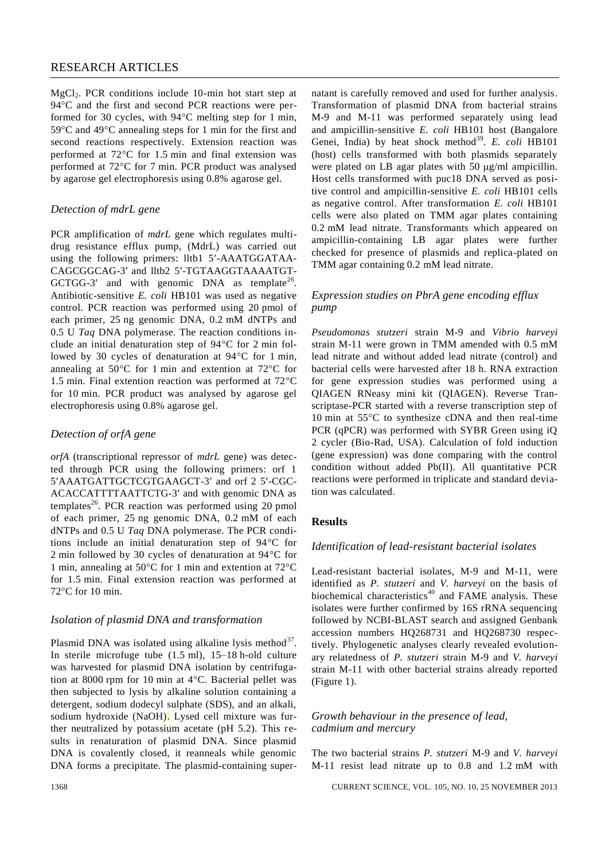## RESEARCH ARTICLES

MgCl<sub>2</sub>. PCR conditions include 10-min hot start step at 94 °C and the first and second PCR reactions were performed for 30 cycles, with  $94^{\circ}$ C melting step for 1 min,  $59^{\circ}$ C and  $49^{\circ}$ C annealing steps for 1 min for the first and second reactions respectively. Extension reaction was performed at  $72^{\circ}$ C for 1.5 min and final extension was performed at  $72^{\circ}$ C for 7 min. PCR product was analysed by agarose gel electrophoresis using 0.8% agarose gel.

## *Detection of mdrL gene*

PCR amplification of *mdrL* gene which regulates multidrug resistance efflux pump, (MdrL) was carried out using the following primers: lltb1 5'-AAATGGATAA-CAGCGGCAG-3' and lltb2 5'-TGTAAGGTAAAATGT-GCTGG-3' and with genomic DNA as template<sup>26</sup>. Antibiotic-sensitive *E. coli* HB101 was used as negative control. PCR reaction was performed using 20 pmol of each primer, 25 ng genomic DNA, 0.2 mM dNTPs and 0.5 U *Taq* DNA polymerase. The reaction conditions include an initial denaturation step of  $94^{\circ}$ C for 2 min followed by 30 cycles of denaturation at  $94^{\circ}$ C for 1 min, annealing at  $50^{\circ}$ C for 1 min and extention at  $72^{\circ}$ C for 1.5 min. Final extention reaction was performed at  $72^{\circ}$ C for 10 min. PCR product was analysed by agarose gel electrophoresis using 0.8% agarose gel.

## *Detection of orfA gene*

*orfA* (transcriptional repressor of *mdrL* gene) was detected through PCR using the following primers: orf 1 5'AAATGATTGCTCGTGAAGCT-3' and orf 2 5'-CGC-ACACCATTTTAATTCTG-3' and with genomic DNA as templates<sup>26</sup>. PCR reaction was performed using 20 pmol of each primer, 25 ng genomic DNA, 0.2 mM of each dNTPs and 0.5 U *Taq* DNA polymerase. The PCR conditions include an initial denaturation step of  $94^{\circ}$ C for 2 min followed by 30 cycles of denaturation at  $94^{\circ}$ C for 1 min, annealing at 50 $\degree$ C for 1 min and extention at 72 $\degree$ C for 1.5 min. Final extension reaction was performed at  $72^{\circ}$ C for 10 min.

## *Isolation of plasmid DNA and transformation*

Plasmid DNA was isolated using alkaline lysis method $37$ . In sterile microfuge tube (1.5 ml), 15–18 h-old culture was harvested for plasmid DNA isolation by centrifugation at 8000 rpm for 10 min at  $4^{\circ}$ C. Bacterial pellet was then subjected to lysis by alkaline solution containing a detergent, sodium dodecyl sulphate (SDS), and an alkali, sodium hydroxide (NaOH). Lysed cell mixture was further neutralized by potassium acetate (pH 5.2). This results in renaturation of plasmid DNA. Since plasmid DNA is covalently closed, it reanneals while genomic DNA forms a precipitate. The plasmid-containing supernatant is carefully removed and used for further analysis. Transformation of plasmid DNA from bacterial strains M-9 and M-11 was performed separately using lead and ampicillin-sensitive *E. coli* HB101 host (Bangalore Genei, India) by heat shock method<sup>39</sup>. E. coli HB101 (host) cells transformed with both plasmids separately were plated on LB agar plates with 50  $\mu$ g/ml ampicillin. Host cells transformed with puc18 DNA served as positive control and ampicillin-sensitive *E. coli* HB101 cells as negative control. After transformation *E. coli* HB101 cells were also plated on TMM agar plates containing 0.2 mM lead nitrate. Transformants which appeared on ampicillin-containing LB agar plates were further checked for presence of plasmids and replica-plated on TMM agar containing 0.2 mM lead nitrate.

## *Expression studies on PbrA gene encoding efflux pump*

*Pseudomonas stutzeri* strain M-9 and *Vibrio harveyi* strain M-11 were grown in TMM amended with 0.5 mM lead nitrate and without added lead nitrate (control) and bacterial cells were harvested after 18 h. RNA extraction for gene expression studies was performed using a QIAGEN RNeasy mini kit (QIAGEN). Reverse Transcriptase-PCR started with a reverse transcription step of 10 min at  $55^{\circ}$ C to synthesize cDNA and then real-time PCR (qPCR) was performed with SYBR Green using iQ 2 cycler (Bio-Rad, USA). Calculation of fold induction (gene expression) was done comparing with the control condition without added Pb(II). All quantitative PCR reactions were performed in triplicate and standard deviation was calculated.

## **Results**

## *Identification of lead-resistant bacterial isolates*

Lead-resistant bacterial isolates, M-9 and M-11, were identified as *P. stutzeri* and *V. harveyi* on the basis of biochemical characteristics<sup>40</sup> and FAME analysis. These isolates were further confirmed by 16S rRNA sequencing followed by NCBI-BLAST search and assigned Genbank accession numbers HQ268731 and HQ268730 respectively. Phylogenetic analyses clearly revealed evolutionary relatedness of *P. stutzeri* strain M-9 and *V. harveyi* strain M-11 with other bacterial strains already reported (Figure 1).

## *Growth behaviour in the presence of lead, cadmium and mercury*

The two bacterial strains *P. stutzeri* M-9 and *V. harveyi* M-11 resist lead nitrate up to 0.8 and 1.2 mM with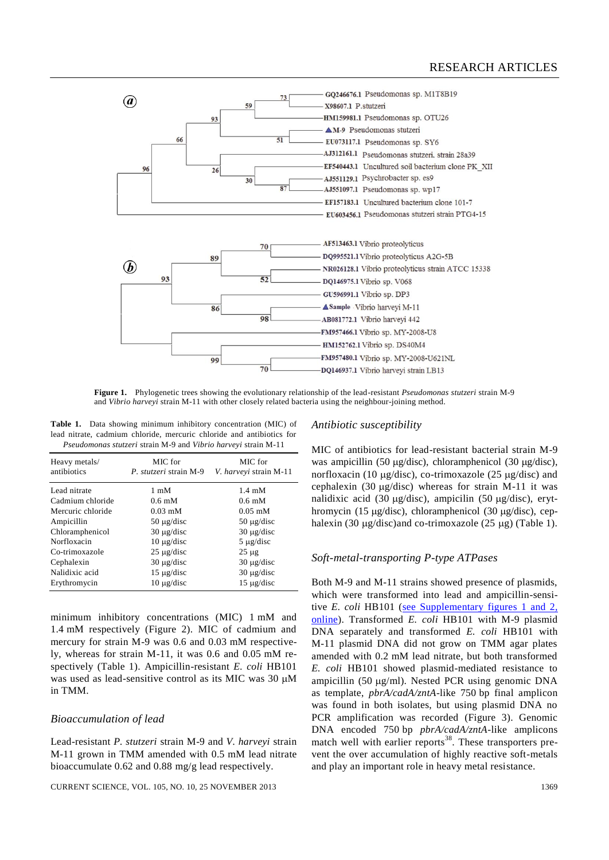

**Figure 1.** Phylogenetic trees showing the evolutionary relationship of the lead-resistant *Pseudomonas stutzeri* strain M-9 and *Vibrio harveyi* strain M-11 with other closely related bacteria using the neighbour-joining method.

**Table 1.** Data showing minimum inhibitory concentration (MIC) of lead nitrate, cadmium chloride, mercuric chloride and antibiotics for *Pseudomonas stutzeri* strain M-9 and *Vibrio harveyi* strain M-11

| Heavy metals/<br>antibiotics | MIC for<br>P. stutzeri strain M-9 | MIC for<br>V. harveyi strain M-11 |
|------------------------------|-----------------------------------|-----------------------------------|
| Lead nitrate                 | $1 \text{ mM}$                    | $1.4 \text{ mM}$                  |
| Cadmium chloride             | $0.6 \text{ mM}$                  | $0.6 \text{ mM}$                  |
| Mercuric chloride            | $0.03 \text{ }\mathrm{mM}$        | $0.05$ mM                         |
| Ampicillin                   | $50 \mu g/disc$                   | $50 \mu g/disc$                   |
| Chloramphenicol              | $30 \mu$ g/disc                   | $30 \mu g/disc$                   |
| Norfloxacin                  | $10 \mu$ g/disc                   | $5 \mu$ g/disc                    |
| Co-trimoxazole               | $25 \mu$ g/disc                   | $25 \mu$ g                        |
| Cephalexin                   | $30 \mu$ g/disc                   | $30 \mu g/disc$                   |
| Nalidixic acid               | $15 \mu$ g/disc                   | $30 \mu g/disc$                   |
| Erythromycin                 | $10 \mu$ g/disc                   | $15 \mu$ g/disc                   |

minimum inhibitory concentrations (MIC) 1 mM and 1.4 mM respectively (Figure 2). MIC of cadmium and mercury for strain M-9 was 0.6 and 0.03 mM respectively, whereas for strain M-11, it was 0.6 and 0.05 mM respectively (Table 1). Ampicillin-resistant *E. coli* HB101 was used as lead-sensitive control as its MIC was 30  $\mu$ M in TMM.

## *Bioaccumulation of lead*

Lead-resistant *P. stutzeri* strain M-9 and *V. harveyi* strain M-11 grown in TMM amended with 0.5 mM lead nitrate bioaccumulate 0.62 and 0.88 mg/g lead respectively.

#### CURRENT SCIENCE, VOL. 105, NO. 10, 25 NOVEMBER 2013 1369

## *Antibiotic susceptibility*

MIC of antibiotics for lead-resistant bacterial strain M-9 was ampicillin (50  $\mu$ g/disc), chloramphenicol (30  $\mu$ g/disc), norfloxacin (10  $\mu$ g/disc), co-trimoxazole (25  $\mu$ g/disc) and cephalexin (30  $\mu$ g/disc) whereas for strain M-11 it was nalidixic acid (30  $\mu$ g/disc), ampicilin (50  $\mu$ g/disc), erythromycin (15  $\mu$ g/disc), chloramphenicol (30  $\mu$ g/disc), cephalexin (30  $\mu$ g/disc)and co-trimoxazole (25  $\mu$ g) (Table 1).

## *Soft-metal-transporting P-type ATPases*

Both M-9 and M-11 strains showed presence of plasmids, which were transformed into lead and ampicillin-sensitive *E. coli* HB101 [\(see Supplementary figures](http://www.currentscience.ac.in/Volumes/105/10/1366-suppl.pdf) 1 and 2, [online\)](http://www.currentscience.ac.in/Volumes/105/10/1366-suppl.pdf). Transformed *E. coli* HB101 with M-9 plasmid DNA separately and transformed *E. coli* HB101 with M-11 plasmid DNA did not grow on TMM agar plates amended with 0.2 mM lead nitrate, but both transformed *E. coli* HB101 showed plasmid-mediated resistance to ampicillin (50  $\mu$ g/ml). Nested PCR using genomic DNA as template, *pbrA/cadA/zntA*-like 750 bp final amplicon was found in both isolates, but using plasmid DNA no PCR amplification was recorded (Figure 3). Genomic DNA encoded 750 bp *pbrA/cadA/zntA*-like amplicons match well with earlier reports<sup>38</sup>. These transporters prevent the over accumulation of highly reactive soft-metals and play an important role in heavy metal resistance.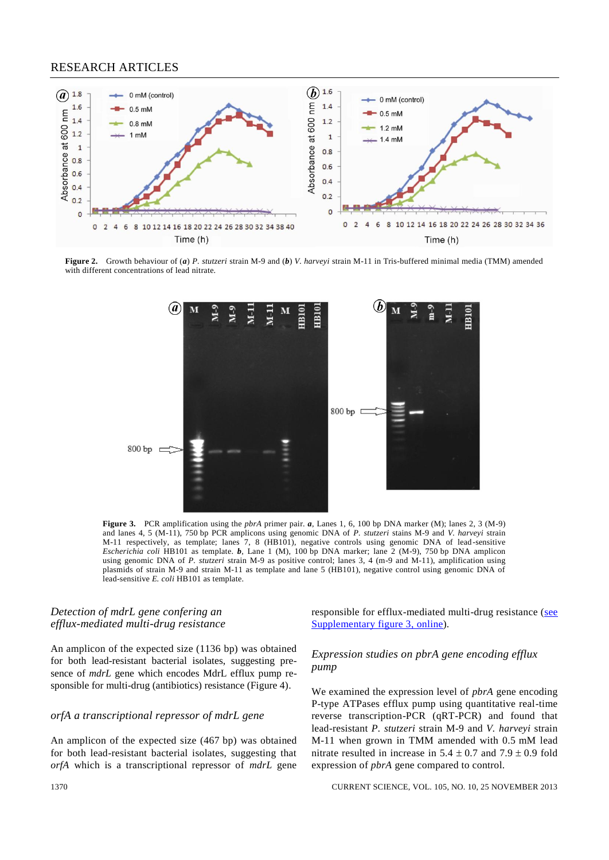## RESEARCH ARTICLES



**Figure 2.** Growth behaviour of (*a*) *P. stutzeri* strain M-9 and (*b*) *V. harveyi* strain M-11 in Tris-buffered minimal media (TMM) amended with different concentrations of lead nitrate.



**Figure 3.** PCR amplification using the *pbrA* primer pair. *a*, Lanes 1, 6, 100 bp DNA marker (M); lanes 2, 3 (M-9) and lanes 4, 5 (M-11), 750 bp PCR amplicons using genomic DNA of *P. stutzeri* stains M-9 and *V. harveyi* strain M-11 respectively, as template; lanes 7, 8 (HB101), negative controls using genomic DNA of lead-sensitive *Escherichia coli* HB101 as template. *b*, Lane 1 (M), 100 bp DNA marker; lane 2 (M-9), 750 bp DNA amplicon using genomic DNA of *P. stutzeri* strain M-9 as positive control; lanes 3, 4 (m-9 and M-11), amplification using plasmids of strain M-9 and strain M-11 as template and lane 5 (HB101), negative control using genomic DNA of lead-sensitive *E. coli* HB101 as template.

## *Detection of mdrL gene confering an efflux-mediated multi-drug resistance*

An amplicon of the expected size (1136 bp) was obtained for both lead-resistant bacterial isolates, suggesting presence of *mdrL* gene which encodes MdrL efflux pump responsible for multi-drug (antibiotics) resistance (Figure 4).

#### *orfA a transcriptional repressor of mdrL gene*

An amplicon of the expected size (467 bp) was obtained for both lead-resistant bacterial isolates, suggesting that *orfA* which is a transcriptional repressor of *mdrL* gene responsible for efflux-mediated multi-drug resistance [\(see](http://www.currentscience.ac.in/Volumes/105/10/1366-suppl.pdf)  [Supplementary figure 3,](http://www.currentscience.ac.in/Volumes/105/10/1366-suppl.pdf) online).

## *Expression studies on pbrA gene encoding efflux pump*

We examined the expression level of *pbrA* gene encoding P-type ATPases efflux pump using quantitative real-time reverse transcription-PCR (qRT-PCR) and found that lead-resistant *P. stutzeri* strain M-9 and *V. harveyi* strain M-11 when grown in TMM amended with 0.5 mM lead nitrate resulted in increase in  $5.4 \pm 0.7$  and  $7.9 \pm 0.9$  fold expression of *pbrA* gene compared to control.

1370 CURRENT SCIENCE, VOL. 105, NO. 10, 25 NOVEMBER 2013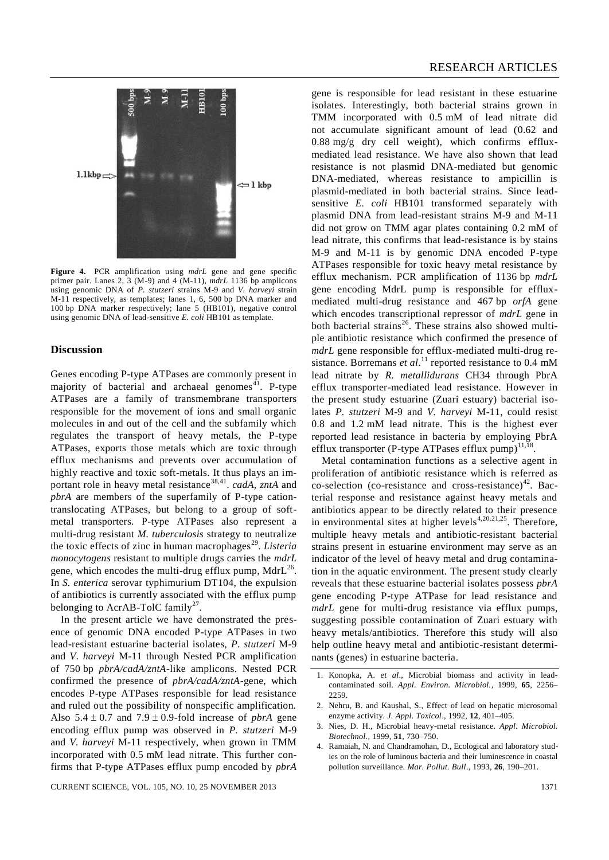

**Figure 4.** PCR amplification using *mdrL* gene and gene specific primer pair. Lanes 2, 3 (M-9) and 4 (M-11), *mdrL* 1136 bp amplicons using genomic DNA of *P. stutzeri* strains M-9 and *V. harveyi* strain M-11 respectively, as templates; lanes 1, 6, 500 bp DNA marker and 100 bp DNA marker respectively; lane 5 (HB101), negative control using genomic DNA of lead-sensitive *E. coli* HB101 as template.

#### **Discussion**

Genes encoding P-type ATPases are commonly present in majority of bacterial and archaeal genomes<sup>41</sup>. P-type ATPases are a family of transmembrane transporters responsible for the movement of ions and small organic molecules in and out of the cell and the subfamily which regulates the transport of heavy metals, the P-type ATPases, exports those metals which are toxic through efflux mechanisms and prevents over accumulation of highly reactive and toxic soft-metals. It thus plays an important role in heavy metal resistance<sup>38,41</sup>. *cadA*, *zntA* and *pbrA* are members of the superfamily of P-type cationtranslocating ATPases, but belong to a group of softmetal transporters. P-type ATPases also represent a multi-drug resistant *M. tuberculosis* strategy to neutralize the toxic effects of zinc in human macrophages<sup>29</sup>. Listeria *monocytogens* resistant to multiple drugs carries the *mdrL*  gene, which encodes the multi-drug efflux pump,  $MdrL^{26}$ . In *S. enterica* serovar typhimurium DT104, the expulsion of antibiotics is currently associated with the efflux pump belonging to AcrAB-TolC family<sup>27</sup>.

In the present article we have demonstrated the presence of genomic DNA encoded P-type ATPases in two lead-resistant estuarine bacterial isolates, *P. stutzeri* M-9 and *V. harveyi* M-11 through Nested PCR amplification of 750 bp *pbrA/cadA/zntA*-like amplicons. Nested PCR confirmed the presence of *pbrA/cadA/zntA*-gene, which encodes P-type ATPases responsible for lead resistance and ruled out the possibility of nonspecific amplification. Also  $5.4 \pm 0.7$  and  $7.9 \pm 0.9$ -fold increase of *pbrA* gene encoding efflux pump was observed in *P. stutzeri* M-9 and *V. harveyi* M-11 respectively, when grown in TMM incorporated with 0.5 mM lead nitrate. This further confirms that P-type ATPases efflux pump encoded by *pbrA*

gene is responsible for lead resistant in these estuarine isolates. Interestingly, both bacterial strains grown in TMM incorporated with 0.5 mM of lead nitrate did not accumulate significant amount of lead (0.62 and  $0.88 \text{ mg/g}$  dry cell weight), which confirms effluxmediated lead resistance. We have also shown that lead resistance is not plasmid DNA-mediated but genomic DNA-mediated, whereas resistance to ampicillin is plasmid-mediated in both bacterial strains. Since leadsensitive *E. coli* HB101 transformed separately with plasmid DNA from lead-resistant strains M-9 and M-11 did not grow on TMM agar plates containing 0.2 mM of lead nitrate, this confirms that lead-resistance is by stains M-9 and M-11 is by genomic DNA encoded P-type ATPases responsible for toxic heavy metal resistance by efflux mechanism. PCR amplification of 1136 bp *mdrL* gene encoding MdrL pump is responsible for effluxmediated multi-drug resistance and 467 bp *orfA* gene which encodes transcriptional repressor of *mdrL* gene in both bacterial strains<sup>26</sup>. These strains also showed multiple antibiotic resistance which confirmed the presence of *mdrL* gene responsible for efflux-mediated multi-drug resistance. Borremans *et al.*<sup>11</sup> reported resistance to 0.4 mM lead nitrate by *R. metallidurans* CH34 through PbrA efflux transporter-mediated lead resistance. However in the present study estuarine (Zuari estuary) bacterial isolates *P. stutzeri* M-9 and *V. harveyi* M-11, could resist 0.8 and 1.2 mM lead nitrate. This is the highest ever reported lead resistance in bacteria by employing PbrA efflux transporter (P-type ATPases efflux pump) $^{11,18}$ .

Metal contamination functions as a selective agent in proliferation of antibiotic resistance which is referred as co-selection (co-resistance and cross-resistance)<sup>42</sup>. Bacterial response and resistance against heavy metals and antibiotics appear to be directly related to their presence in environmental sites at higher levels<sup>4,20,21,25</sup>. Therefore, multiple heavy metals and antibiotic-resistant bacterial strains present in estuarine environment may serve as an indicator of the level of heavy metal and drug contamination in the aquatic environment. The present study clearly reveals that these estuarine bacterial isolates possess *pbrA* gene encoding P-type ATPase for lead resistance and *mdrL* gene for multi-drug resistance via efflux pumps, suggesting possible contamination of Zuari estuary with heavy metals/antibiotics. Therefore this study will also help outline heavy metal and antibiotic-resistant determinants (genes) in estuarine bacteria.

- 1. Konopka, A. *et al*., Microbial biomass and activity in leadcontaminated soil. *Appl. Environ. Microbiol.*, 1999, **65**, 2256– 2259.
- 2. Nehru, B. and Kaushal, S., Effect of lead on hepatic microsomal enzyme activity. *J. Appl. Toxicol*., 1992, **12**, 401–405.
- 3. Nies, D. H., Microbial heavy-metal resistance. *Appl. Microbiol. Biotechnol.*, 1999, **51**, 730–750.
- 4. Ramaiah, N. and Chandramohan, D., Ecological and laboratory studies on the role of luminous bacteria and their luminescence in coastal pollution surveillance. *Mar. Pollut. Bull*., 1993, **26**, 190–201.